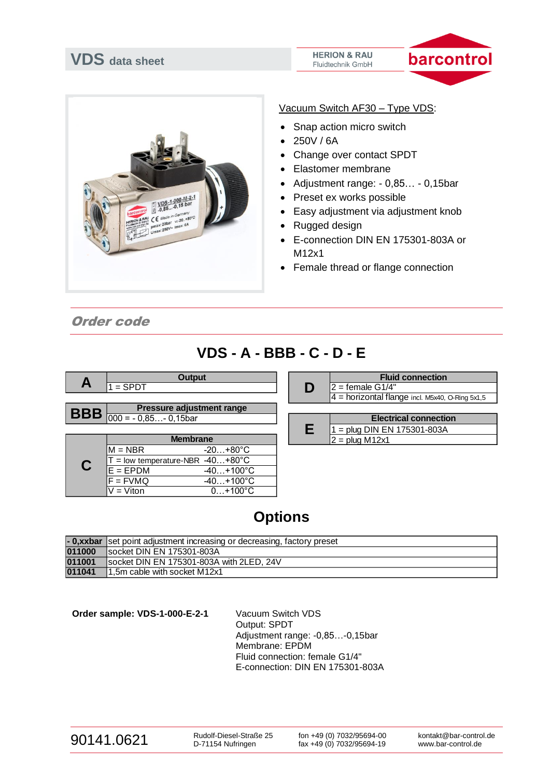



Vacuum Switch AF30 – Type VDS:

- Snap action micro switch
- 250V / 6A
- Change over contact SPDT
- Elastomer membrane
- Adjustment range: 0,85… 0,15bar
- Preset ex works possible
- Easy adjustment via adjustment knob
- Rugged design
- E-connection DIN EN 175301-803A or M12x1
- Female thread or flange connection

Order code

## **VDS - A - BBB - C - D - E**

|   |                                                     | <b>Output</b>                           |   | <b>Fluid</b>          |
|---|-----------------------------------------------------|-----------------------------------------|---|-----------------------|
| Α | $1 =$ SPDT                                          |                                         | D | $2 =$ female G1/4"    |
|   |                                                     |                                         |   | $4 =$ horizontal flan |
|   |                                                     | <b>Pressure adjustment range</b>        |   |                       |
|   | $\left  \text{BBB} \right _{000} = -0.85 -0.15$ bar |                                         |   | <b>Electrid</b>       |
|   |                                                     |                                         | Е | $=$ plug DIN EN 1     |
|   |                                                     | <b>Membrane</b>                         |   | $2 = plug M12x1$      |
|   | $M = NBR$                                           | $-20+80^{\circ}C$                       |   |                       |
|   |                                                     | $\Gamma$ = low temperature-NBR -40+80°C |   |                       |
|   | <b>FDDM</b>                                         | 1.40000<br>$\sqrt{2}$                   |   |                       |

 $E = EPDM$   $-40...+100°C$  $F = FVMQ$   $-40...+100°C$  $V = V$ iton  $0...+100^{\circ}C$ 

|   | <b>Fluid connection</b>                           |  |  |  |
|---|---------------------------------------------------|--|--|--|
| D | $2 =$ female G1/4"                                |  |  |  |
|   | $4$ = horizontal flange incl. M5x40, O-Ring 5x1,5 |  |  |  |
|   |                                                   |  |  |  |
|   |                                                   |  |  |  |
|   | <b>Electrical connection</b>                      |  |  |  |

## **Options**

|        | - <b>0,xxbar</b> set point adjustment increasing or decreasing, factory preset |
|--------|--------------------------------------------------------------------------------|
| 011000 | Isocket DIN EN 175301-803A                                                     |
| 011001 | socket DIN EN 175301-803A with 2LED, 24V                                       |
| 011041 | 1,5m cable with socket M12x1                                                   |

**Order sample: VDS-1-000-E-2-1** Vacuum Switch VDS

Output: SPDT Adjustment range: -0,85…-0,15bar Membrane: EPDM Fluid connection: female G1/4" E-connection: DIN EN 175301-803A